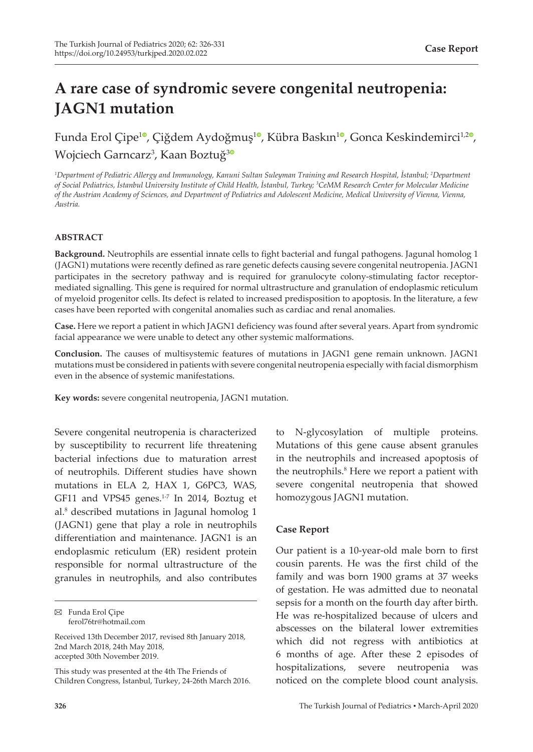# **A rare case of syndromic severe congenital neutropenia: JAGN1 mutation**

Funda Erol Çipe<sup>[1](https://orcid.org/0000-0002-4294-7492)0</sup>, Çiğdem Aydoğmuş<sup>10</sup>, Kübra Baskın<sup>10</sup>, Gonca Keskindemirci<sup>1,[2](https://orcid.org/0000-0003-1797-2802)0</sup>, Wojciech Garncarz<sup>[3](https://orcid.org/0000-0001-8387-9185)</sup>, Kaan Boztuğ<sup>3</sup>

*1 Department of Pediatric Allergy and Immunology, Kanuni Sultan Suleyman Training and Research Hospital, İstanbul; 2 Department of Social Pediatrics, İstanbul University Institute of Child Health, İstanbul, Turkey; 3 CeMM Research Center for Molecular Medicine of the Austrian Academy of Sciences, and Department of Pediatrics and Adolescent Medicine, Medical University of Vienna, Vienna, Austria.*

## **ABSTRACT**

**Background.** Neutrophils are essential innate cells to fight bacterial and fungal pathogens. Jagunal homolog 1 (JAGN1) mutations were recently defined as rare genetic defects causing severe congenital neutropenia. JAGN1 participates in the secretory pathway and is required for granulocyte colony-stimulating factor receptormediated signalling. This gene is required for normal ultrastructure and granulation of endoplasmic reticulum of myeloid progenitor cells. Its defect is related to increased predisposition to apoptosis. In the literature, a few cases have been reported with congenital anomalies such as cardiac and renal anomalies.

**Case.** Here we report a patient in which JAGN1 deficiency was found after several years. Apart from syndromic facial appearance we were unable to detect any other systemic malformations.

**Conclusion.** The causes of multisystemic features of mutations in JAGN1 gene remain unknown. JAGN1 mutations must be considered in patients with severe congenital neutropenia especially with facial dismorphism even in the absence of systemic manifestations.

**Key words:** severe congenital neutropenia, JAGN1 mutation.

Severe congenital neutropenia is characterized by susceptibility to recurrent life threatening bacterial infections due to maturation arrest of neutrophils. Different studies have shown mutations in ELA 2, HAX 1, G6PC3, WAS, GF11 and VPS45 genes. $1-7$  In 2014, Boztug et al.<sup>8</sup> described mutations in Jagunal homolog 1 (JAGN1) gene that play a role in neutrophils differentiation and maintenance. JAGN1 is an endoplasmic reticulum (ER) resident protein responsible for normal ultrastructure of the granules in neutrophils, and also contributes

to N-glycosylation of multiple proteins. Mutations of this gene cause absent granules in the neutrophils and increased apoptosis of the neutrophils.<sup>8</sup> Here we report a patient with severe congenital neutropenia that showed homozygous JAGN1 mutation.

## **Case Report**

Our patient is a 10-year-old male born to first cousin parents. He was the first child of the family and was born 1900 grams at 37 weeks of gestation. He was admitted due to neonatal sepsis for a month on the fourth day after birth. He was re-hospitalized because of ulcers and abscesses on the bilateral lower extremities which did not regress with antibiotics at 6 months of age. After these 2 episodes of hospitalizations, severe neutropenia was noticed on the complete blood count analysis.

Funda Erol Çipe ferol76tr@hotmail.com

Received 13th December 2017, revised 8th January 2018, 2nd March 2018, 24th May 2018, accepted 30th November 2019.

This study was presented at the 4th The Friends of Children Congress, İstanbul, Turkey, 24-26th March 2016.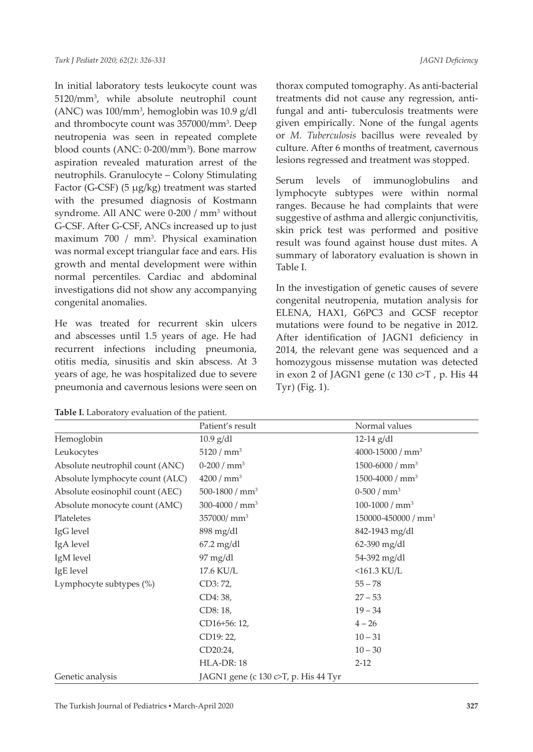In initial laboratory tests leukocyte count was 5120/mm3 , while absolute neutrophil count (ANC) was 100/mm3 , hemoglobin was 10.9 g/dl and thrombocyte count was 357000/mm<sup>3</sup>. Deep neutropenia was seen in repeated complete blood counts (ANC: 0-200/mm<sup>3</sup>). Bone marrow aspiration revealed maturation arrest of the neutrophils. Granulocyte – Colony Stimulating Factor (G-CSF) (5 µg/kg) treatment was started with the presumed diagnosis of Kostmann syndrome. All ANC were 0-200 / mm<sup>3</sup> without G-CSF. After G-CSF, ANCs increased up to just maximum 700 / mm<sup>3</sup>. Physical examination was normal except triangular face and ears. His growth and mental development were within normal percentiles. Cardiac and abdominal investigations did not show any accompanying congenital anomalies.

He was treated for recurrent skin ulcers and abscesses until 1.5 years of age. He had recurrent infections including pneumonia, otitis media, sinusitis and skin abscess. At 3 years of age, he was hospitalized due to severe pneumonia and cavernous lesions were seen on

**Table I.** Laboratory evaluation of the patient.

thorax computed tomography. As anti-bacterial treatments did not cause any regression, antifungal and anti- tuberculosis treatments were given empirically. None of the fungal agents or *M. Tuberculosis* bacillus were revealed by culture. After 6 months of treatment, cavernous lesions regressed and treatment was stopped.

Serum levels of immunoglobulins and lymphocyte subtypes were within normal ranges. Because he had complaints that were suggestive of asthma and allergic conjunctivitis, skin prick test was performed and positive result was found against house dust mites. A summary of laboratory evaluation is shown in Table I.

In the investigation of genetic causes of severe congenital neutropenia, mutation analysis for ELENA, HAX1, G6PC3 and GCSF receptor mutations were found to be negative in 2012. After identification of JAGN1 deficiency in 2014, the relevant gene was sequenced and a homozygous missense mutation was detected in exon 2 of JAGN1 gene (c 130 c>T , p. His 44 Tyr) (Fig. 1).

|                                 | Patient's result                                      | Normal values                   |
|---------------------------------|-------------------------------------------------------|---------------------------------|
| Hemoglobin                      | $10.9$ g/dl                                           | $12-14$ g/dl                    |
| Leukocytes                      | 5120 / mm <sup>3</sup>                                | 4000-15000 / mm <sup>3</sup>    |
| Absolute neutrophil count (ANC) | $0-200/mm^3$                                          | 1500-6000 / $mm3$               |
| Absolute lymphocyte count (ALC) | 4200 / mm <sup>3</sup>                                | 1500-4000 / $mm3$               |
| Absolute eosinophil count (AEC) | 500-1800 / $mm3$                                      | $0-500/mm^3$                    |
| Absolute monocyte count (AMC)   | 300-4000 / $mm3$                                      | 100-1000 / $mm3$                |
| Plateletes                      | 357000/mm <sup>3</sup>                                | 150000-450000 / mm <sup>3</sup> |
| IgG level                       | $898 \text{ mg/dl}$                                   | 842-1943 mg/dl                  |
| IgA level                       | $67.2 \text{ mg/dl}$                                  | 62-390 mg/dl                    |
| IgM level                       | 97 mg/dl                                              | 54-392 mg/dl                    |
| IgE level                       | 17.6 KU/L                                             | $<$ 161.3 KU/L                  |
| Lymphocyte subtypes (%)         | CD3: 72,                                              | $55 - 78$                       |
|                                 | CD4: 38,                                              | $27 - 53$                       |
|                                 | CD8: 18,                                              | $19 - 34$                       |
|                                 | CD16+56: 12,                                          | $4 - 26$                        |
|                                 | CD19: 22,                                             | $10 - 31$                       |
|                                 | CD20:24,                                              | $10 - 30$                       |
|                                 | HLA-DR: 18                                            | $2 - 12$                        |
| Genetic analysis                | JAGN1 gene (c $130 \text{ c}$ ). His $44 \text{ Tyr}$ |                                 |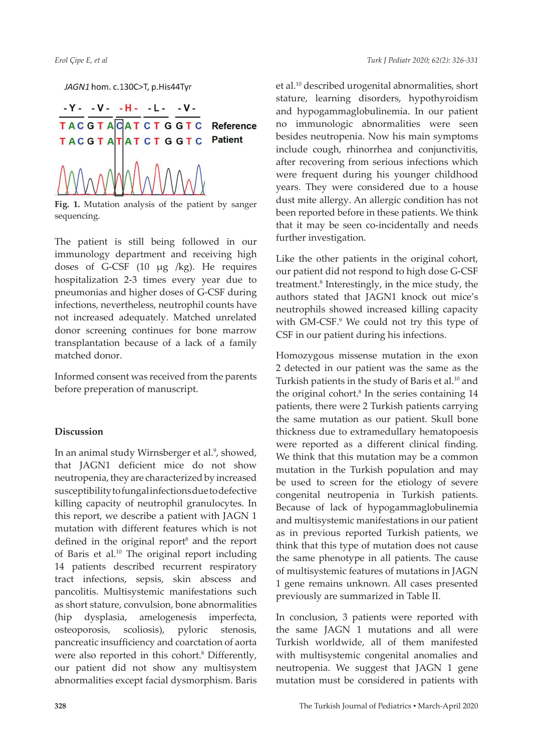JAGN1 hom. c.130C>T, p.His44Tyr



**Fig. 1.** Mutation analysis of the patient by sanger sequencing.

The patient is still being followed in our immunology department and receiving high doses of G-CSF (10 µg /kg). He requires hospitalization 2-3 times every year due to pneumonias and higher doses of G-CSF during infections, nevertheless, neutrophil counts have not increased adequately. Matched unrelated donor screening continues for bone marrow transplantation because of a lack of a family matched donor.

Informed consent was received from the parents before preperation of manuscript.

# **Discussion**

In an animal study Wirnsberger et al.<sup>9</sup>, showed, that JAGN1 deficient mice do not show neutropenia, they are characterized by increased susceptibility to fungal infections due to defective killing capacity of neutrophil granulocytes. In this report, we describe a patient with JAGN 1 mutation with different features which is not defined in the original report<sup>8</sup> and the report of Baris et al.<sup>10</sup> The original report including 14 patients described recurrent respiratory tract infections, sepsis, skin abscess and pancolitis. Multisystemic manifestations such as short stature, convulsion, bone abnormalities (hip dysplasia, amelogenesis imperfecta, osteoporosis, scoliosis), pyloric stenosis, pancreatic insufficiency and coarctation of aorta were also reported in this cohort.<sup>8</sup> Differently, our patient did not show any multisystem abnormalities except facial dysmorphism. Baris

et al.10 described urogenital abnormalities, short stature, learning disorders, hypothyroidism and hypogammaglobulinemia. In our patient no immunologic abnormalities were seen besides neutropenia. Now his main symptoms include cough, rhinorrhea and conjunctivitis, after recovering from serious infections which were frequent during his younger childhood years. They were considered due to a house dust mite allergy. An allergic condition has not been reported before in these patients. We think that it may be seen co-incidentally and needs further investigation.

Like the other patients in the original cohort, our patient did not respond to high dose G-CSF treatment.<sup>8</sup> Interestingly, in the mice study, the authors stated that JAGN1 knock out mice's neutrophils showed increased killing capacity with GM-CSF.<sup>9</sup> We could not try this type of CSF in our patient during his infections.

Homozygous missense mutation in the exon 2 detected in our patient was the same as the Turkish patients in the study of Baris et al.<sup>10</sup> and the original cohort.<sup>8</sup> In the series containing 14 patients, there were 2 Turkish patients carrying the same mutation as our patient. Skull bone thickness due to extramedullary hematopoesis were reported as a different clinical finding. We think that this mutation may be a common mutation in the Turkish population and may be used to screen for the etiology of severe congenital neutropenia in Turkish patients. Because of lack of hypogammaglobulinemia and multisystemic manifestations in our patient as in previous reported Turkish patients, we think that this type of mutation does not cause the same phenotype in all patients. The cause of multisystemic features of mutations in JAGN 1 gene remains unknown. All cases presented previously are summarized in Table II.

In conclusion, 3 patients were reported with the same JAGN 1 mutations and all were Turkish worldwide, all of them manifested with multisystemic congenital anomalies and neutropenia. We suggest that JAGN 1 gene mutation must be considered in patients with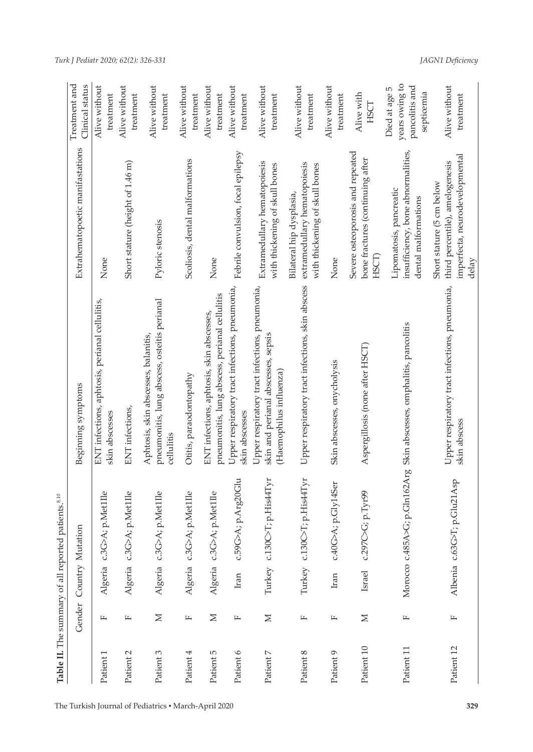|            |        |        | Table II. The summary of all reported patients. <sup>8,10</sup> |                                                                                                                  |                                                                                                         |                                                                 |
|------------|--------|--------|-----------------------------------------------------------------|------------------------------------------------------------------------------------------------------------------|---------------------------------------------------------------------------------------------------------|-----------------------------------------------------------------|
|            | Gender |        | Country Mutation                                                | Beginning symptoms                                                                                               | Extrahematopoetic manifastations                                                                        | Treatment and<br>Clinical status                                |
| Patient 1  | щ      |        | Algeria c.3G>A; p.Met1Ile                                       | ENT infections, aphtosis, perianal cellulitis,<br>skin abscesses                                                 | None                                                                                                    | Alive without<br>treatment                                      |
| Patient 2  | щ      |        | Algeria c.3G>A; p.Met1Ile                                       | ENT infections,                                                                                                  | Short stature (height of 1.46 m)                                                                        | Alive without<br>treatment                                      |
| Patient 3  | $\geq$ |        | Algeria c.3G>A; p.Met1Ile                                       | pneumonitis, lung abscess, osteitis perianal<br>Aphtosis, skin abscesses, balanitis,<br>cellulitis               | Pyloric stenosis                                                                                        | Alive without<br>treatment                                      |
| Patient 4  | щ      |        | Algeria c.3G>A; p.Met1Ile                                       | Otitis, paraodontopathy                                                                                          | Scoliosis, dental malformations                                                                         | Alive without<br>treatment                                      |
| Patient 5  | $\geq$ |        | Algeria c.3G>A; p.Met1Ile                                       | pneumonitis, lung abscess, perianal cellulitis<br>ENT infections, aphtosis, skin abscesses,                      | None                                                                                                    | Alive without<br>treatment                                      |
| Patient 6  | щ      | Iran   | c.59G>A; p.Arg20Glu                                             | Upper respiratory tract infections, pneumonia,<br>skin abscesses                                                 | Febrile convulsion, focal epilepsy                                                                      | Alive without<br>treatment                                      |
| Patient 7  | $\geq$ |        | Turkey c.130C>T; p.His44Tyr                                     | Upper respiratory tract infections, pneumonia,<br>skin and perianal abscesses, sepsis<br>(Haemophilus influenza) | Extramedullary hematopoiesis<br>with thickening of skull bones                                          | Alive without<br>treatment                                      |
| Patient 8  | щ      |        | Turkey c.130C>T; p.His44Tyr                                     | Upper respiratory tract infections, skin abscess                                                                 | extramedullary hematopoiesis<br>with thickening of skull bones<br>Bilateral hip dysplasia,              | Alive without<br>treatment                                      |
| Patient 9  | щ      | Iran   | c.40G>A; p.Gly14Ser                                             | Skin abscesses, onycholysis                                                                                      | None                                                                                                    | Alive without<br>treatment                                      |
| Patient 10 | $\geq$ | Israel | c.297C>G; p.Tyr99                                               | Aspergillosis (none after HSCT)                                                                                  | Severe osteoporosis and repeated<br>bone fractures (continuing after<br><b>HSCT</b>                     | Alive with<br>HSCT                                              |
| Patient 11 | щ      |        |                                                                 | Morocco c.485A>G; p.Gln162Arg Skin abscesses, omphalitis, pancolitis                                             | insufficiency, bone abnormalities,<br>Lipomatosis, pancreatic<br>dental malformations                   | years owing to<br>pancolitis and<br>Died at age 5<br>septicemia |
| Patient 12 | щ      |        | Albenia c.63G>T; p.Glu21Asp                                     | Upper respiratory tract infections, pneumonia,<br>skin abscess                                                   | imperfecta, neurodevelopmental<br>third percentile), amelogenesis<br>Short stature (5 cm below<br>delay | Alive without<br>treatment                                      |

*JAGN1 Deficiency*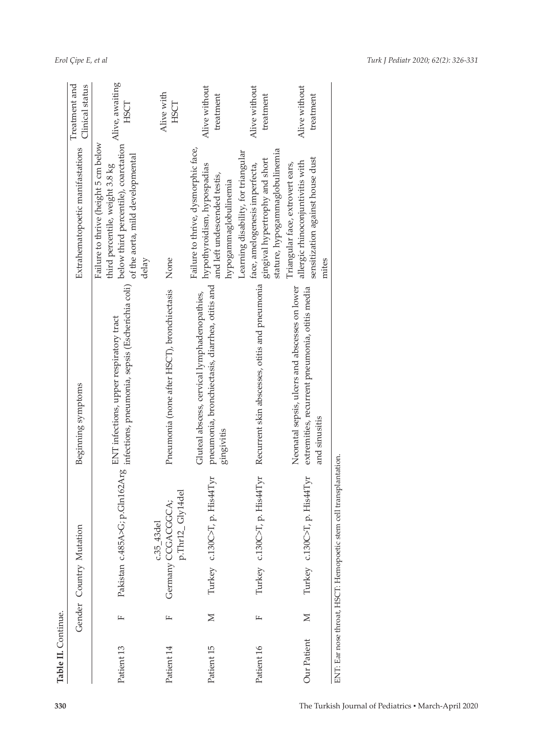| 330                                                  | Table II. Continue. |        |                                                                    |                                                                                                                            |                                                                                                                                                              |                                  |
|------------------------------------------------------|---------------------|--------|--------------------------------------------------------------------|----------------------------------------------------------------------------------------------------------------------------|--------------------------------------------------------------------------------------------------------------------------------------------------------------|----------------------------------|
|                                                      |                     | Gender | Country Mutation                                                   | Beginning symptoms                                                                                                         | Extrahematopoetic manifastations                                                                                                                             | Treatment and<br>Clinical status |
|                                                      | Patient 13          | щ      |                                                                    | Pakistan c.485A>G; p.Gln162Arg infections, pneumonia, sepsis (Escherichia coli)<br>ENT infections, upper respiratory tract | Failure to thrive (height 5 cm below<br>below third percentile), coarctation<br>of the aorta, mild developmental<br>third percentile, weight 3.8 kg<br>delay | Alive, awaiting<br>HSCT          |
|                                                      | Patient 14          | щ      | p.Thr12_Gly14del<br>Germany CCGACGGCA;<br>$c.35$ <sub>-43del</sub> | Pneumonia (none after HSCT), bronchiectasis                                                                                | None                                                                                                                                                         | Alive with<br>HSCT               |
|                                                      | Patient 15          | $\geq$ | His44Tyr<br>Turkey c.130C>T, p.                                    | pneumonia, bronchiectasis, diarrhea, otitis and<br>Gluteal abscess, cervical lymphadenopathies,<br>gingivitis              | Failure to thrive, dysmorphic face,<br>hypothyroidism, hypospadias<br>and left undescended testis,<br>hypogammaglobulinemia                                  | Alive without<br>treatment       |
|                                                      | Patient 16          | щ      | His44Tyr<br>Turkey c.130C>T, p.                                    | Recurrent skin abscesses, otitis and pneumonia                                                                             | stature, hypogammaglobulinemia<br>Learning disability, for triangular<br>gingival hypertrophy and short<br>face, amelogenesis imperfecta,                    | Alive without<br>treatment       |
|                                                      | Our Patient         | $\geq$ | His44Tyr<br>Turkey c.130C>T, p.                                    | Neonatal sepsis, ulcers and abscesses on lower<br>extremities, recurrent pneumonia, otitis media<br>and sinusitis          | sensitization against house dust<br>allergic rhinoconjuntivitis with<br>Triangular face, extrovert ears,<br>mites                                            | Alive without<br>treatment       |
| The Turkish Journal of Pediatrics . March-April 2020 |                     |        | ENT: Ear nose throat, HSCT: Hemopoetic stem cell transplantation.  |                                                                                                                            |                                                                                                                                                              |                                  |